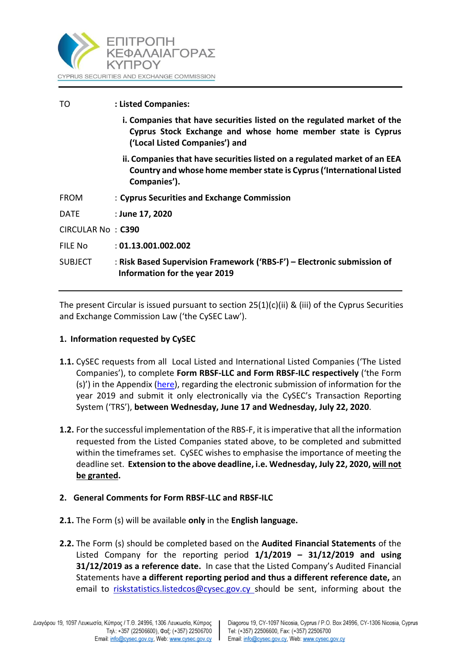

| TO                | : Listed Companies:                                                                                                                                                      |
|-------------------|--------------------------------------------------------------------------------------------------------------------------------------------------------------------------|
|                   | i. Companies that have securities listed on the regulated market of the<br>Cyprus Stock Exchange and whose home member state is Cyprus<br>('Local Listed Companies') and |
|                   | ii. Companies that have securities listed on a regulated market of an EEA<br>Country and whose home member state is Cyprus ('International Listed<br>Companies').        |
| <b>FROM</b>       | : Cyprus Securities and Exchange Commission                                                                                                                              |
| <b>DATE</b>       | : June 17, 2020                                                                                                                                                          |
| CIRCULAR No: C390 |                                                                                                                                                                          |
| FILE No           | : 01.13.001.002.002                                                                                                                                                      |
| <b>SUBJECT</b>    | : Risk Based Supervision Framework ('RBS-F') - Electronic submission of<br>Information for the year 2019                                                                 |

The present Circular is issued pursuant to section  $25(1)(c)(ii)$  & (iii) of the Cyprus Securities and Exchange Commission Law ('the CySEC Law').

### **1. Information requested by CySEC**

- **1.1.** CySEC requests from all Local Listed and International Listed Companies ('The Listed Companies'), to complete **Form RBSF-LLC and Form RBSF-ILC respectively** ('the Form (s)') in the Appendix [\(here\)](https://www.cysec.gov.cy/en-GB/entities/RBS-F/FORMS/), regarding the electronic submission of information for the year 2019 and submit it only electronically via the CySEC's Transaction Reporting System ('TRS'), **between Wednesday, June 17 and Wednesday, July 22, 2020**.
- **1.2.** For the successful implementation of the RBS-F, it is imperative that all the information requested from the Listed Companies stated above, to be completed and submitted within the timeframes set. CySEC wishes to emphasise the importance of meeting the deadline set. **Extension to the above deadline, i.e. Wednesday, July 22, 2020, will not be granted.**

# **2. General Comments for Form RBSF-LLC and RBSF-ILC**

- **2.1.** The Form (s) will be available **only** in the **English language.**
- **2.2.** The Form (s) should be completed based on the **Audited Financial Statements** of the Listed Company for the reporting period **1/1/2019 – 31/12/2019 and using 31/12/2019 as a reference date.** In case that the Listed Company's Audited Financial Statements have **a different reporting period and thus a different reference date,** an email to [riskstatistics.listedcos@cysec.gov.cy](mailto:riskstatistics.listedcos@cysec.gov.cy) should be sent, informing about the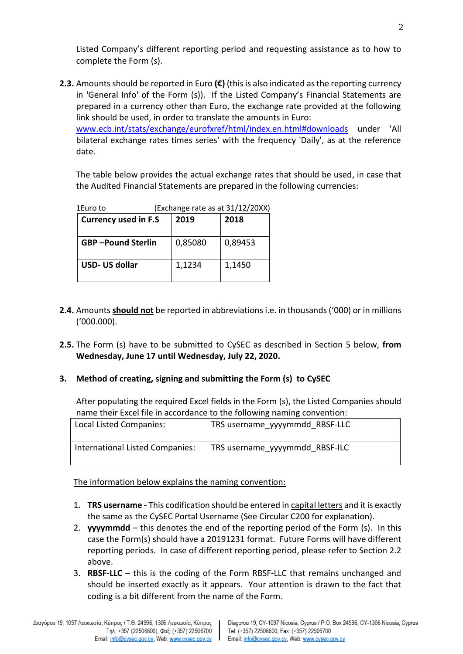Listed Company's different reporting period and requesting assistance as to how to complete the Form (s).

**2.3.** Amounts should be reported in Euro **(€)** (this is also indicated as the reporting currency in 'General Info' of the Form (s)). If the Listed Company's Financial Statements are prepared in a currency other than Euro, the exchange rate provided at the following link should be used, in order to translate the amounts in Euro:

[www.ecb.int/stats/exchange/eurofxref/html/index.en.html#downloads](http://www.ecb.int/stats/exchange/eurofxref/html/index.en.html#downloads) under 'All bilateral exchange rates times series' with the frequency 'Daily', as at the reference date.

The table below provides the actual exchange rates that should be used, in case that the Audited Financial Statements are prepared in the following currencies:

| 1Euro to                    |         | (Exchange rate as at 31/12/20XX) |
|-----------------------------|---------|----------------------------------|
| <b>Currency used in F.S</b> | 2019    | 2018                             |
| <b>GBP-Pound Sterlin</b>    | 0,85080 | 0,89453                          |
| USD- US dollar              | 1,1234  | 1,1450                           |

- **2.4.** Amounts **should not** be reported in abbreviations i.e. in thousands ('000) or in millions ('000.000).
- **2.5.** The Form (s) have to be submitted to CySEC as described in Section 5 below, **from Wednesday, June 17 until Wednesday, July 22, 2020.**

# **3. Method of creating, signing and submitting the Form (s) to CySEC**

After populating the required Excel fields in the Form (s), the Listed Companies should name their Excel file in accordance to the following naming convention:

| Local Listed Companies:         | TRS username yyyymmdd RBSF-LLC |
|---------------------------------|--------------------------------|
| International Listed Companies: | TRS username yyyymmdd RBSF-ILC |

The information below explains the naming convention:

- 1. **TRS username -** This codification should be entered in capital letters and it is exactly the same as the CySEC Portal Username (See Circular C200 for explanation).
- 2. **yyyymmdd** this denotes the end of the reporting period of the Form (s). In this case the Form(s) should have a 20191231 format. Future Forms will have different reporting periods. In case of different reporting period, please refer to Section 2.2 above.
- 3. **RBSF-LLC** this is the coding of the Form RBSF-LLC that remains unchanged and should be inserted exactly as it appears. Your attention is drawn to the fact that coding is a bit different from the name of the Form.

 $\mathbf{I}$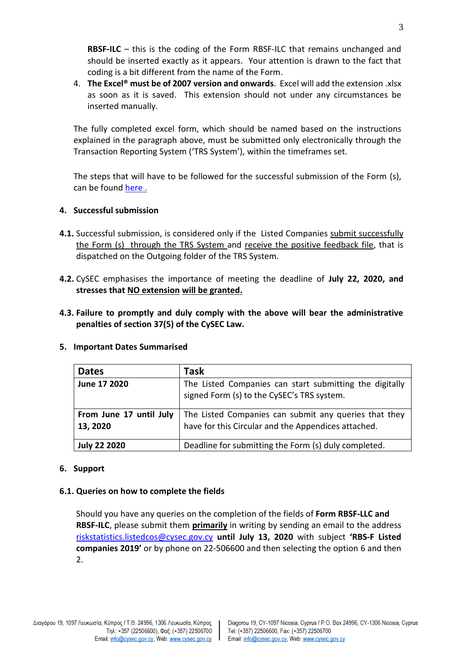**RBSF-ILC** – this is the coding of the Form RBSF-ILC that remains unchanged and should be inserted exactly as it appears. Your attention is drawn to the fact that coding is a bit different from the name of the Form.

4. **The Excel® must be of 2007 version and onwards**. Excel will add the extension .xlsx as soon as it is saved. This extension should not under any circumstances be inserted manually.

Τhe fully completed excel form, which should be named based on the instructions explained in the paragraph above, must be submitted only electronically through the Transaction Reporting System ('TRS System'), within the timeframes set.

The steps that will have to be followed for the successful submission of the Form (s), can be found [here](https://www.cysec.gov.cy/en-GB/entities/digital-signature/TRS-User-Manual/).

### **4. Successful submission**

- **4.1.** Successful submission, is considered only if the Listed Companies submit successfully the Form (s) through the TRS System and receive the positive feedback file, that is dispatched on the Outgoing folder of the TRS System.
- **4.2.** CySEC emphasises the importance of meeting the deadline of **July 22, 2020, and stresses that NO extension will be granted.**
- **4.3. Failure to promptly and duly comply with the above will bear the administrative penalties of section 37(5) of the CySEC Law.**

| <b>Dates</b>                        | Task                                                                                                         |
|-------------------------------------|--------------------------------------------------------------------------------------------------------------|
| June 17 2020                        | The Listed Companies can start submitting the digitally<br>signed Form (s) to the CySEC's TRS system.        |
| From June 17 until July<br>13, 2020 | The Listed Companies can submit any queries that they<br>have for this Circular and the Appendices attached. |
| <b>July 22 2020</b>                 | Deadline for submitting the Form (s) duly completed.                                                         |

### **5. Important Dates Summarised**

### **6. Support**

### **6.1. Queries on how to complete the fields**

Should you have any queries on the completion of the fields of **Form RBSF-LLC and RBSF-ILC**, please submit them **primarily** in writing by sending an email to the address [riskstatistics.listedcos@cysec.gov.cy](mailto:riskstatistics.listedcos@cysec.gov.cy) **until July 13, 2020** with subject **'RBS-F Listed companies 2019'** or by phone on 22-506600 and then selecting the option 6 and then 2.

 $\mathbf{I}$